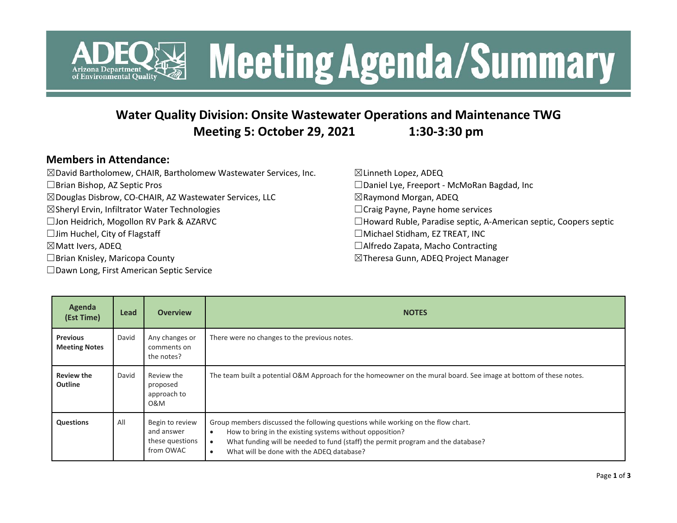

### **Water Quality Division: Onsite Wastewater Operations and Maintenance TWG Meeting 5: October 29, 2021 1:30-3:30 pm**

#### **Members in Attendance:**

| $\boxtimes$ David Bartholomew, CHAIR, Bartholomew Wastewater Services, Inc. | $\boxtimes$ Linneth Lopez, ADEQ                                         |
|-----------------------------------------------------------------------------|-------------------------------------------------------------------------|
| $\Box$ Brian Bishop, AZ Septic Pros                                         | □Daniel Lye, Freeport - McMoRan Bagdad, Inc                             |
| ⊠ Douglas Disbrow, CO-CHAIR, AZ Wastewater Services, LLC                    | $\boxtimes$ Raymond Morgan, ADEQ                                        |
| ⊠Sheryl Ervin, Infiltrator Water Technologies                               | $\Box$ Craig Payne, Payne home services                                 |
| □ Jon Heidrich, Mogollon RV Park & AZARVC                                   | $\Box$ Howard Ruble, Paradise septic, A-American septic, Coopers septic |
| $\Box$ Jim Huchel, City of Flagstaff                                        | $\Box$ Michael Stidham, EZ TREAT, INC                                   |
| $\boxtimes$ Matt Ivers, ADEQ                                                | □ Alfredo Zapata, Macho Contracting                                     |
| $\Box$ Brian Knisley, Maricopa County                                       | ⊠Theresa Gunn, ADEQ Project Manager                                     |
| □ Dawn Long, First American Septic Service                                  |                                                                         |

| Agenda<br>(Est Time)                    | <b>Lead</b> | <b>Overview</b>                                               | <b>NOTES</b>                                                                                                                                                                                                                                                                                                 |
|-----------------------------------------|-------------|---------------------------------------------------------------|--------------------------------------------------------------------------------------------------------------------------------------------------------------------------------------------------------------------------------------------------------------------------------------------------------------|
| <b>Previous</b><br><b>Meeting Notes</b> | David       | Any changes or<br>comments on<br>the notes?                   | There were no changes to the previous notes.                                                                                                                                                                                                                                                                 |
| <b>Review the</b><br><b>Outline</b>     | David       | Review the<br>proposed<br>approach to<br>0&M                  | The team built a potential O&M Approach for the homeowner on the mural board. See image at bottom of these notes.                                                                                                                                                                                            |
| <b>Questions</b>                        | All         | Begin to review<br>and answer<br>these questions<br>from OWAC | Group members discussed the following questions while working on the flow chart.<br>How to bring in the existing systems without opposition?<br>$\bullet$<br>What funding will be needed to fund (staff) the permit program and the database?<br>$\bullet$<br>What will be done with the ADEQ database?<br>٠ |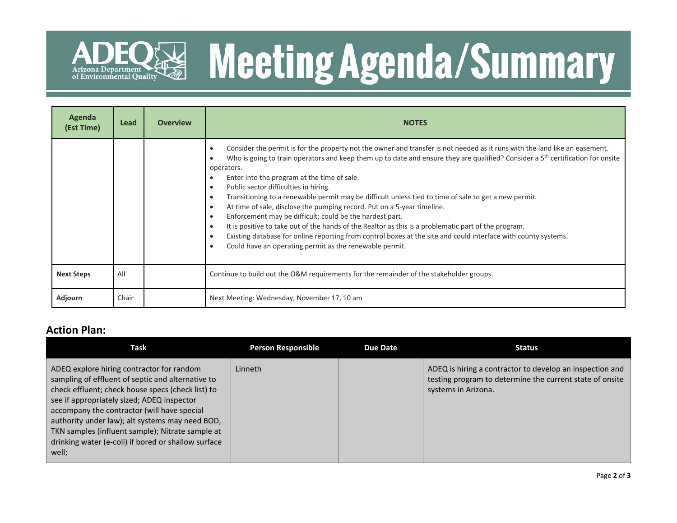

# **Meeting Agenda/Summary**

| Agenda<br>(Est Time) | Lead  | <b>Overview</b> | <b>NOTES</b>                                                                                                                                                                                                                                                                                                                                                                                                                                                                                                                                                                                                                                                                                                                                                                                                                                                                                                |
|----------------------|-------|-----------------|-------------------------------------------------------------------------------------------------------------------------------------------------------------------------------------------------------------------------------------------------------------------------------------------------------------------------------------------------------------------------------------------------------------------------------------------------------------------------------------------------------------------------------------------------------------------------------------------------------------------------------------------------------------------------------------------------------------------------------------------------------------------------------------------------------------------------------------------------------------------------------------------------------------|
|                      |       |                 | Consider the permit is for the property not the owner and transfer is not needed as it runs with the land like an easement.<br>Who is going to train operators and keep them up to date and ensure they are qualified? Consider a $5th$ certification for onsite<br>operators.<br>Enter into the program at the time of sale.<br>Public sector difficulties in hiring.<br>Transitioning to a renewable permit may be difficult unless tied to time of sale to get a new permit.<br>At time of sale, disclose the pumping record. Put on a 5-year timeline.<br>Enforcement may be difficult; could be the hardest part.<br>It is positive to take out of the hands of the Realtor as this is a problematic part of the program.<br>Existing database for online reporting from control boxes at the site and could interface with county systems.<br>Could have an operating permit as the renewable permit. |
| <b>Next Steps</b>    | All   |                 | Continue to build out the O&M requirements for the remainder of the stakeholder groups.                                                                                                                                                                                                                                                                                                                                                                                                                                                                                                                                                                                                                                                                                                                                                                                                                     |
| Adjourn              | Chair |                 | Next Meeting: Wednesday, November 17, 10 am                                                                                                                                                                                                                                                                                                                                                                                                                                                                                                                                                                                                                                                                                                                                                                                                                                                                 |

### **Action Plan:**

| Task                                                                                                                                                                                                                                                                                                                                                                                                                    | <b>Person Responsible</b> | <b>Due Date</b> | <b>Status</b>                                                                                                                               |
|-------------------------------------------------------------------------------------------------------------------------------------------------------------------------------------------------------------------------------------------------------------------------------------------------------------------------------------------------------------------------------------------------------------------------|---------------------------|-----------------|---------------------------------------------------------------------------------------------------------------------------------------------|
| ADEQ explore hiring contractor for random<br>sampling of effluent of septic and alternative to<br>check effluent; check house specs (check list) to<br>see if appropriately sized; ADEQ inspector<br>accompany the contractor (will have special<br>authority under law); alt systems may need BOD,<br>TKN samples (influent sample); Nitrate sample at<br>drinking water (e-coli) if bored or shallow surface<br>well; | Linneth                   |                 | ADEQ is hiring a contractor to develop an inspection and<br>testing program to determine the current state of onsite<br>systems in Arizona. |